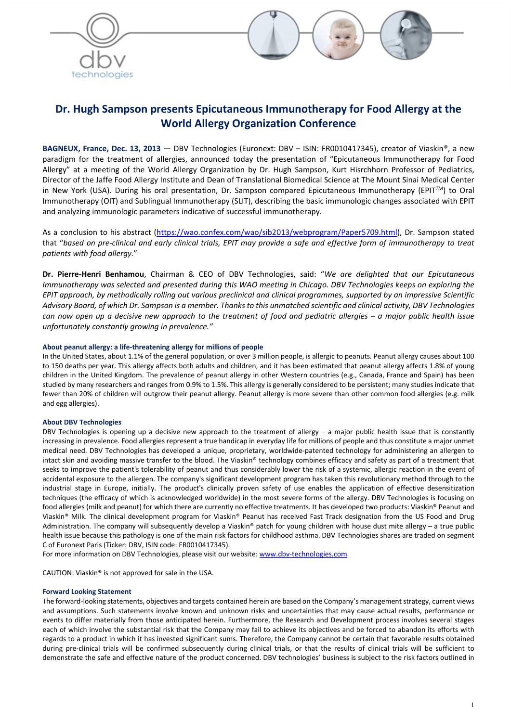



# Dr. Hugh Sampson presents Epicutaneous Immunotherapy for Food Allergy at the World Allergy Organization Conference

BAGNEUX, France, Dec. 13, 2013 — DBV Technologies (Euronext: DBV - ISIN: FR0010417345), creator of Viaskin®, a new paradigm for the treatment of allergies, announced today the presentation of "Epicutaneous Immunotherapy for Food Allergy" at a meeting of the World Allergy Organization by Dr. Hugh Sampson, Kurt Hisrchhorn Professor of Pediatrics, Director of the Jaffe Food Allergy Institute and Dean of Translational Biomedical Science at The Mount Sinai Medical Center in New York (USA). During his oral presentation, Dr. Sampson compared Epicutaneous Immunotherapy (EPIT*TM*) to Oral Immunotherapy (OIT) and Sublingual Immunotherapy (SLIT), describing the basic immunologic changes associated with EPIT and analyzing immunologic parameters indicative of successful immunotherapy.

As a conclusion to his abstract (https://wao.confex.com/wao/sib2013/webprogram/Paper5709.html), Dr. Sampson stated that "*based on pre-clinical and early clinical trials, EPIT may provide a safe and effective form of immunotherapy to treat patients with food allergy.*"

Dr. Pierre-Henri Benhamou, Chairman & CEO of DBV Technologies, said: "*We are delighted that our Epicutaneous Immunotherapy was selected and presented during this WAO meeting in Chicago. DBV Technologies keeps on exploring the EPIT approach, by methodically rolling out various preclinical and clinical programmes, supported by an impressive Scientific Advisory Board, of which Dr. Sampson is a member. Thanks to this unmatched scientific and clinical activity, DBV Technologies can now open up a decisive new approach to the treatment of food and pediatric allergies – a major public health issue unfortunately constantly growing in prevalence."*

#### About peanut allergy: a life-threatening allergy for millions of people

In the United States, about 1.1% of the general population, or over 3 million people, is allergic to peanuts. Peanut allergy causes about 100 to 150 deaths per year. This allergy affects both adults and children, and it has been estimated that peanut allergy affects 1.8% of young children in the United Kingdom. The prevalence of peanut allergy in other Western countries (e.g., Canada, France and Spain) has been studied by many researchers and ranges from 0.9% to 1.5%. This allergy is generally considered to be persistent; many studies indicate that fewer than 20% of children will outgrow their peanut allergy. Peanut allergy is more severe than other common food allergies (e.g. milk and egg allergies).

#### About DBV Technologies

DBV Technologies is opening up a decisive new approach to the treatment of allergy – a major public health issue that is constantly increasing in prevalence. Food allergies represent a true handicap in everyday life for millions of people and thus constitute a major unmet medical need. DBV Technologies has developed a unique, proprietary, worldwide-patented technology for administering an allergen to intact skin and avoiding massive transfer to the blood. The Viaskin® technology combines efficacy and safety as part of a treatment that seeks to improve the patient's tolerability of peanut and thus considerably lower the risk of a systemic, allergic reaction in the event of accidental exposure to the allergen. The company's significant development program has taken this revolutionary method through to the industrial stage in Europe, initially. The product's clinically proven safety of use enables the application of effective desensitization techniques (the efficacy of which is acknowledged worldwide) in the most severe forms of the allergy. DBV Technologies is focusing on food allergies (milk and peanut) for which there are currently no effective treatments. It has developed two products: Viaskin® Peanut and Viaskin® Milk. The clinical development program for Viaskin® Peanut has received Fast Track designation from the US Food and Drug Administration. The company will subsequently develop a Viaskin® patch for young children with house dust mite allergy – a true public health issue because this pathology is one of the main risk factors for childhood asthma. DBV Technologies shares are traded on segment C of Euronext Paris (Ticker: DBV, ISIN code: FR0010417345).

For more information on DBV Technologies, please visit our website: www.dbv-technologies.com

CAUTION: Viaskin® is not approved for sale in the USA.

#### Forward Looking Statement

The forward-looking statements, objectives and targets contained herein are based on the Company's management strategy, current views and assumptions. Such statements involve known and unknown risks and uncertainties that may cause actual results, performance or events to differ materially from those anticipated herein. Furthermore, the Research and Development process involves several stages each of which involve the substantial risk that the Company may fail to achieve its objectives and be forced to abandon its efforts with regards to a product in which it has invested significant sums. Therefore, the Company cannot be certain that favorable results obtained during pre-clinical trials will be confirmed subsequently during clinical trials, or that the results of clinical trials will be sufficient to demonstrate the safe and effective nature of the product concerned. DBV technologies' business is subject to the risk factors outlined in